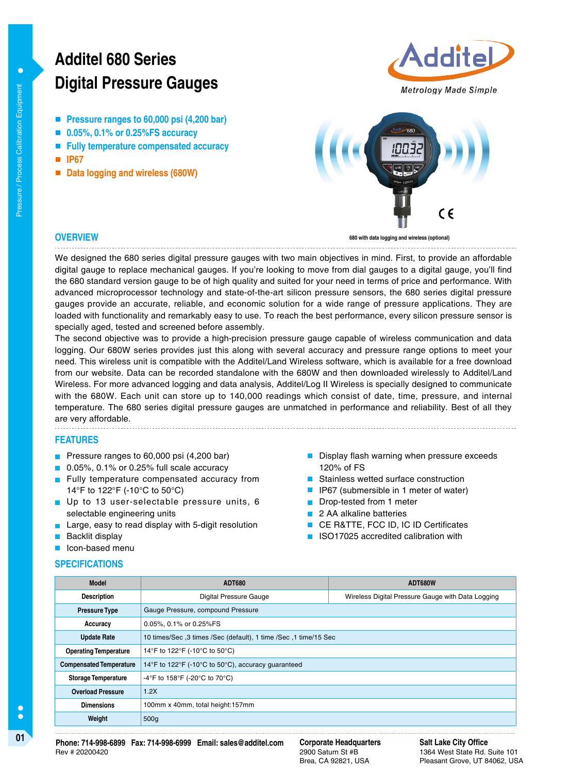# **Digital Pressure Gauges Additel 680 Series**

- **Pressure ranges to 60,000 psi (4,200 bar)**
- **0.05%, 0.1% or 0.25%FS accuracy**
- **Fully temperature compensated accuracy**
- **IP67**
- Data logging and wireless (680W)





# **OVERVIEW**

**680 with data logging and wireless (optional)**

We designed the 680 series digital pressure gauges with two main objectives in mind. First, to provide an affordable digital gauge to replace mechanical gauges. If you're looking to move from dial gauges to a digital gauge, you'll find the 680 standard version gauge to be of high quality and suited for your need in terms of price and performance. With advanced microprocessor technology and state-of-the-art silicon pressure sensors, the 680 series digital pressure gauges provide an accurate, reliable, and economic solution for a wide range of pressure applications. They are loaded with functionality and remarkably easy to use. To reach the best performance, every silicon pressure sensor is specially aged, tested and screened before assembly.

The second objective was to provide a high-precision pressure gauge capable of wireless communication and data logging. Our 680W series provides just this along with several accuracy and pressure range options to meet your need. This wireless unit is compatible with the Additel/Land Wireless software, which is available for a free download from our website. Data can be recorded standalone with the 680W and then downloaded wirelessly to Additel/Land Wireless. For more advanced logging and data analysis, Additel/Log II Wireless is specially designed to communicate with the 680W. Each unit can store up to 140,000 readings which consist of date, time, pressure, and internal temperature. The 680 series digital pressure gauges are unmatched in performance and reliability. Best of all they are very affordable.

# **FEATURES**

- Pressure ranges to 60,000 psi (4,200 bar)
- 0.05%, 0.1% or 0.25% full scale accuracy
- **Fully temperature compensated accuracy from** 14°F to 122°F (-10°C to 50°C)
- Up to 13 user-selectable pressure units, 6 selectable engineering units
- Large, easy to read display with 5-digit resolution
- Backlit display

**SPECIFICATIONS**

**I** Icon-based menu

## $\blacksquare$  Display flash warning when pressure exceeds 120% of FS ■ Stainless wetted surface construction

- IP67 (submersible in 1 meter of water)
- Drop-tested from 1 meter  $\blacksquare$
- **2 AA alkaline batteries**
- CE R&TTE, FCC ID, IC ID Certificates
- **I**ISO17025 accredited calibration with
- **Model ADT680 ADT680W Description Digital Pressure Gauge Wireless Digital Pressure Gauge with Data Logging** Pressure Type **Gauge Pressure, compound Pressure Accuracy** 0.05%, 0.1% or 0.25%FS **Update Rate** 10 times/Sec ,3 times /Sec (default), 1 time /Sec ,1 time/15 Sec **Operating Temperature** 14°F to 122°F (-10°C to 50°C) **Compensated Temperature** 14°F to 122°F (-10°C to 50°C), accuracy guaranteed **Storage Temperature** -4°F to 158°F (-20°C to 70°C) **Overload Pressure** 1.2X **Dimensions** 100mm x 40mm, total height:157mm **Weight** 500g

**01 Corporate Headquarters Phone: 714-998-6899 Fax: 714-998-6999 Email: sales@additel.com** Rev # 20200420

2900 Saturn St #B Brea, CA 92821, USA

**Salt Lake City Office** 1364 West State Rd. Suite 101 Pleasant Grove, UT 84062, USA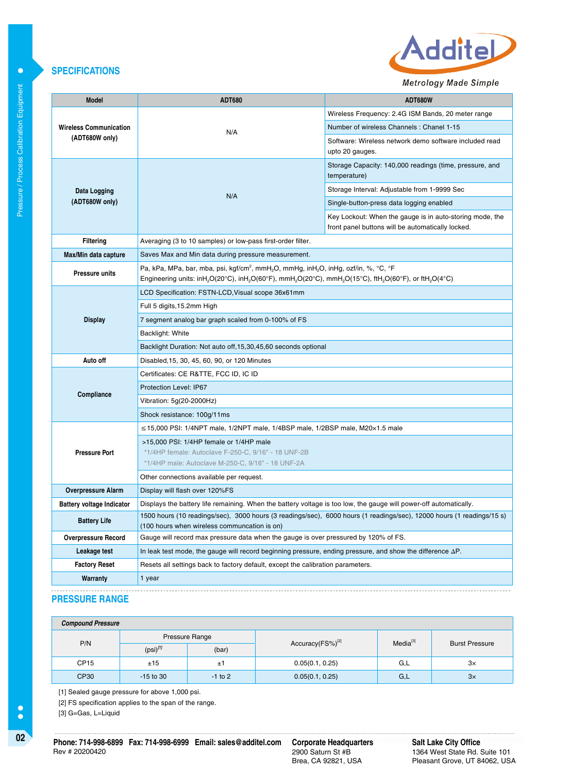

# Metrology Made Simple

| <b>Model</b>                                    | <b>ADT680</b>                                                                                                                                                                                                                                                                                               | ADT680W                                                                                                       |  |
|-------------------------------------------------|-------------------------------------------------------------------------------------------------------------------------------------------------------------------------------------------------------------------------------------------------------------------------------------------------------------|---------------------------------------------------------------------------------------------------------------|--|
| <b>Wireless Communication</b><br>(ADT680W only) | N/A                                                                                                                                                                                                                                                                                                         | Wireless Frequency: 2.4G ISM Bands, 20 meter range                                                            |  |
|                                                 |                                                                                                                                                                                                                                                                                                             | Number of wireless Channels: Chanel 1-15                                                                      |  |
|                                                 |                                                                                                                                                                                                                                                                                                             | Software: Wireless network demo software included read<br>upto 20 gauges.                                     |  |
|                                                 |                                                                                                                                                                                                                                                                                                             | Storage Capacity: 140,000 readings (time, pressure, and<br>temperature)                                       |  |
| Data Logging                                    | N/A                                                                                                                                                                                                                                                                                                         | Storage Interval: Adjustable from 1-9999 Sec                                                                  |  |
| (ADT680W only)                                  |                                                                                                                                                                                                                                                                                                             | Single-button-press data logging enabled                                                                      |  |
|                                                 |                                                                                                                                                                                                                                                                                                             | Key Lockout: When the gauge is in auto-storing mode, the<br>front panel buttons will be automatically locked. |  |
| <b>Filtering</b>                                | Averaging (3 to 10 samples) or low-pass first-order filter.                                                                                                                                                                                                                                                 |                                                                                                               |  |
| Max/Min data capture                            | Saves Max and Min data during pressure measurement.                                                                                                                                                                                                                                                         |                                                                                                               |  |
| <b>Pressure units</b>                           | Pa, kPa, MPa, bar, mba, psi, kgf/cm <sup>2</sup> , mmH <sub>2</sub> O, mmHg, inH <sub>2</sub> O, inHg, ozf/in, %, °C, °F<br>Engineering units: inH <sub>2</sub> O(20°C), inH <sub>2</sub> O(60°F), mmH <sub>2</sub> O(20°C), mmH <sub>2</sub> O(15°C), ftH <sub>2</sub> O(60°F), or ftH <sub>2</sub> O(4°C) |                                                                                                               |  |
|                                                 | LCD Specification: FSTN-LCD, Visual scope 36x61mm                                                                                                                                                                                                                                                           |                                                                                                               |  |
|                                                 | Full 5 digits, 15.2mm High                                                                                                                                                                                                                                                                                  |                                                                                                               |  |
| <b>Display</b>                                  | 7 segment analog bar graph scaled from 0-100% of FS                                                                                                                                                                                                                                                         |                                                                                                               |  |
|                                                 | Backlight: White                                                                                                                                                                                                                                                                                            |                                                                                                               |  |
|                                                 | Backlight Duration: Not auto off, 15, 30, 45, 60 seconds optional                                                                                                                                                                                                                                           |                                                                                                               |  |
| Auto off                                        | Disabled, 15, 30, 45, 60, 90, or 120 Minutes                                                                                                                                                                                                                                                                |                                                                                                               |  |
|                                                 | Certificates: CE R&TTE, FCC ID, IC ID                                                                                                                                                                                                                                                                       |                                                                                                               |  |
| Compliance                                      | Protection Level: IP67                                                                                                                                                                                                                                                                                      |                                                                                                               |  |
|                                                 | Vibration: 5g(20-2000Hz)                                                                                                                                                                                                                                                                                    |                                                                                                               |  |
|                                                 | Shock resistance: 100g/11ms                                                                                                                                                                                                                                                                                 |                                                                                                               |  |
|                                                 | $\leq$ 15,000 PSI: 1/4NPT male, 1/2NPT male, 1/4BSP male, 1/2BSP male, M20 $\times$ 1.5 male                                                                                                                                                                                                                |                                                                                                               |  |
|                                                 | >15,000 PSI: 1/4HP female or 1/4HP male                                                                                                                                                                                                                                                                     |                                                                                                               |  |
| <b>Pressure Port</b>                            | *1/4HP female: Autoclave F-250-C, 9/16" - 18 UNF-2B<br>*1/4HP male: Autoclave M-250-C, 9/16" - 18 UNF-2A                                                                                                                                                                                                    |                                                                                                               |  |
|                                                 | Other connections available per request.                                                                                                                                                                                                                                                                    |                                                                                                               |  |
| <b>Overpressure Alarm</b>                       | Display will flash over 120%FS                                                                                                                                                                                                                                                                              |                                                                                                               |  |
| <b>Battery voltage Indicator</b>                | Displays the battery life remaining. When the battery voltage is too low, the gauge will power-off automatically.                                                                                                                                                                                           |                                                                                                               |  |
| <b>Battery Life</b>                             | 1500 hours (10 readings/sec), 3000 hours (3 readings/sec), 6000 hours (1 readings/sec), 12000 hours (1 readings/15 s)<br>(100 hours when wireless communcation is on)                                                                                                                                       |                                                                                                               |  |
| <b>Overpressure Record</b>                      | Gauge will record max pressure data when the gauge is over pressured by 120% of FS.                                                                                                                                                                                                                         |                                                                                                               |  |
| Leakage test                                    | In leak test mode, the gauge will record beginning pressure, ending pressure, and show the difference $\Delta P$ .                                                                                                                                                                                          |                                                                                                               |  |
| <b>Factory Reset</b>                            | Resets all settings back to factory default, except the calibration parameters.                                                                                                                                                                                                                             |                                                                                                               |  |
| Warranty                                        | 1 year                                                                                                                                                                                                                                                                                                      |                                                                                                               |  |
|                                                 |                                                                                                                                                                                                                                                                                                             |                                                                                                               |  |

# **PRESSURE RANGE**

| <b>Compound Pressure</b> |                        |                                                       |                 |               |                       |
|--------------------------|------------------------|-------------------------------------------------------|-----------------|---------------|-----------------------|
| P/N                      |                        | <b>Pressure Range</b><br>Accuracy(FS%) <sup>[2]</sup> |                 | $Media^{[3]}$ | <b>Burst Pressure</b> |
|                          | $(psi)$ <sup>[1]</sup> | (bar)                                                 |                 |               |                       |
| CP <sub>15</sub>         | ±15                    | ±1                                                    | 0.05(0.1, 0.25) | G,L           | $3\times$             |
| CP30                     | $-15$ to 30            | $-1$ to 2                                             | 0.05(0.1, 0.25) | G,L           | 3x                    |

[1] Sealed gauge pressure for above 1,000 psi.

[2] FS specification applies to the span of the range.

[3] G=Gas, L=Liquid

 $\bullet$ 

 $\bullet$ 

**02 Corporate Corporate Headquarters**<br> **Phone: 714-998-6899 Fax: 714-998-6999 Email: sales@additel.com** Corporate Headquarters Rev # 20200420

2900 Saturn St #B Brea, CA 92821, USA